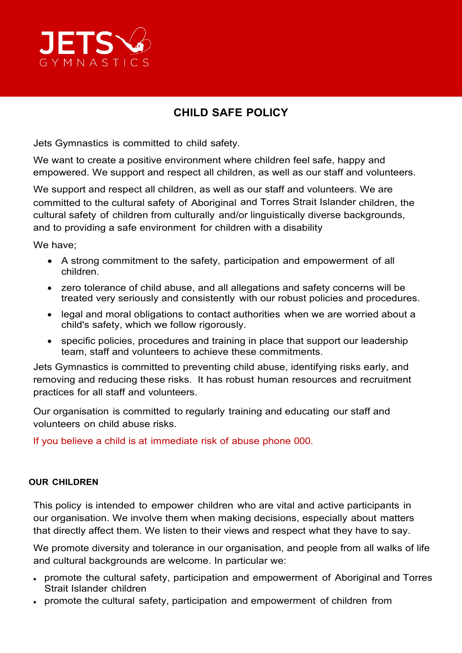

# **CHILD SAFE POLICY**

Jets Gymnastics is committed to child safety.

We want to create a positive environment where children feel safe, happy and empowered. We support and respect all children, as well as our staff and volunteers.

We support and respect all children, as well as our staff and volunteers. We are committed to the cultural safety of Aboriginal and Torres Strait Islander children, the cultural safety of children from culturally and/or linguistically diverse backgrounds, and to providing a safe environment for children with a disability

We have;

- A strong commitment to the safety, participation and empowerment of all children.
- zero tolerance of child abuse, and all allegations and safety concerns will be treated very seriously and consistently with our robust policies and procedures.
- legal and moral obligations to contact authorities when we are worried about a child's safety, which we follow rigorously.
- specific policies, procedures and training in place that support our leadership team, staff and volunteers to achieve these commitments.

Jets Gymnastics is committed to preventing child abuse, identifying risks early, and removing and reducing these risks. It has robust human resources and recruitment practices for all staff and volunteers.

Our organisation is committed to regularly training and educating our staff and volunteers on child abuse risks.

If you believe a child is at immediate risk of abuse phone 000.

#### **OUR CHILDREN**

This policy is intended to empower children who are vital and active participants in our organisation. We involve them when making decisions, especially about matters that directly affect them. We listen to their views and respect what they have to say.

We promote diversity and tolerance in our organisation, and people from all walks of life and cultural backgrounds are welcome. In particular we:

- promote the cultural safety, participation and empowerment of Aboriginal and Torres Strait Islander children
- promote the cultural safety, participation and empowerment of children from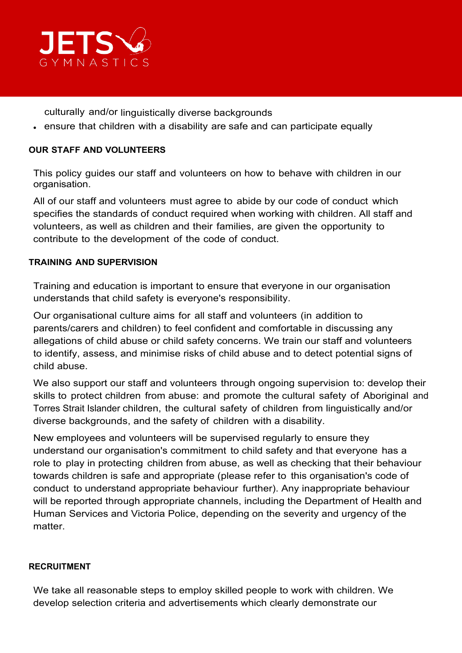

culturally and/or linguistically diverse backgrounds

• ensure that children with a disability are safe and can participate equally

## **OUR STAFF AND VOLUNTEERS**

This policy guides our staff and volunteers on how to behave with children in our organisation.

All of our staff and volunteers must agree to abide by our code of conduct which specifies the standards of conduct required when working with children. All staff and volunteers, as well as children and their families, are given the opportunity to contribute to the development of the code of conduct.

## **TRAINING AND SUPERVISION**

Training and education is important to ensure that everyone in our organisation understands that child safety is everyone's responsibility.

Our organisational culture aims for all staff and volunteers (in addition to parents/carers and children) to feel confident and comfortable in discussing any allegations of child abuse or child safety concerns. We train our staff and volunteers to identify, assess, and minimise risks of child abuse and to detect potential signs of child abuse.

We also support our staff and volunteers through ongoing supervision to: develop their skills to protect children from abuse: and promote the cultural safety of Aboriginal and Torres Strait Islander children, the cultural safety of children from linguistically and/or diverse backgrounds, and the safety of children with a disability.

New employees and volunteers will be supervised regularly to ensure they understand our organisation's commitment to child safety and that everyone has a role to play in protecting children from abuse, as well as checking that their behaviour towards children is safe and appropriate (please refer to this organisation's code of conduct to understand appropriate behaviour further). Any inappropriate behaviour will be reported through appropriate channels, including the Department of Health and Human Services and Victoria Police, depending on the severity and urgency of the matter.

#### **RECRUITMENT**

We take all reasonable steps to employ skilled people to work with children. We develop selection criteria and advertisements which clearly demonstrate our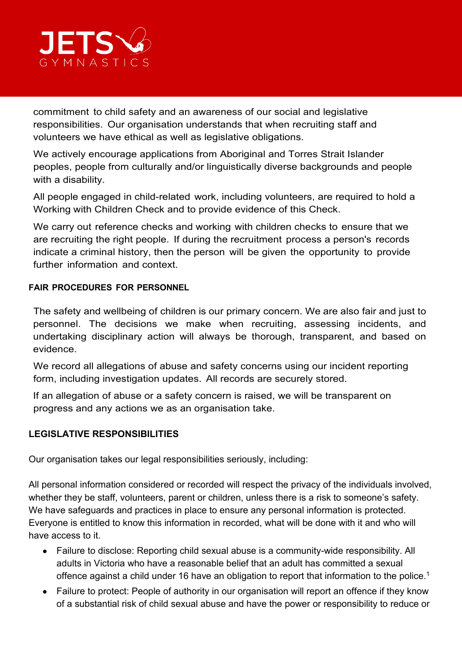

commitment to child safety and an awareness of our social and legislative responsibilities. Our organisation understands that when recruiting staff and volunteers we have ethical as well as legislative obligations.

We actively encourage applications from Aboriginal and Torres Strait Islander peoples, people from culturally and/or linguistically diverse backgrounds and people with a disability.

All people engaged in child-related work, including volunteers, are required to hold a Working with Children Check and to provide evidence of this Check.

We carry out reference checks and working with children checks to ensure that we are recruiting the right people. If during the recruitment process a person's records indicate a criminal history, then the person will be given the opportunity to provide further information and context.

## **FAIR PROCEDURES FOR PERSONNEL**

The safety and wellbeing of children is our primary concern. We are also fair and just to personnel. The decisions we make when recruiting, assessing incidents, and undertaking disciplinary action will always be thorough, transparent, and based on evidence.

We record all allegations of abuse and safety concerns using our incident reporting form, including investigation updates. All records are securely stored.

If an allegation of abuse or a safety concern is raised, we will be transparent on progress and any actions we as an organisation take.

# **LEGISLATIVE RESPONSIBILITIES**

Our organisation takes our legal responsibilities seriously, including:

All personal information considered or recorded will respect the privacy of the individuals involved, whether they be staff, volunteers, parent or children, unless there is a risk to someone's safety. We have safeguards and practices in place to ensure any personal information is protected. Everyone is entitled to know this information in recorded, what will be done with it and who will have access to it.

- Failure to disclose: Reporting child sexual abuse is a community-wide responsibility. All adults in Victoria who have a reasonable belief that an adult has committed a sexual offence against a child under 16 have an obligation to report that information to the police.<sup>1</sup>
- Failure to protect: People of authority in our organisation will report an offence if they know of a substantial risk of child sexual abuse and have the power or responsibility to reduce or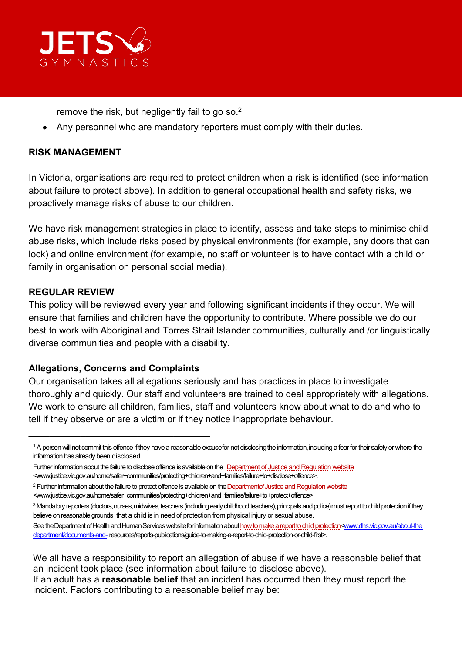

remove the risk, but negligently fail to go so.2

• Any personnel who are mandatory reporters must comply with their duties.

## **RISK MANAGEMENT**

In Victoria, organisations are required to protect children when a risk is identified (see information about failure to protect above). In addition to general occupational health and safety risks, we proactively manage risks of abuse to our children.

We have risk management strategies in place to identify, assess and take steps to minimise child abuse risks, which include risks posed by physical environments (for example, any doors that can lock) and online environment (for example, no staff or volunteer is to have contact with a child or family in organisation on personal social media).

## **REGULAR REVIEW**

This policy will be reviewed every year and following significant incidents if they occur. We will ensure that families and children have the opportunity to contribute. Where possible we do our best to work with Aboriginal and Torres Strait Islander communities, culturally and /or linguistically diverse communities and people with a disability.

# **Allegations, Concerns and Complaints**

\_\_\_\_\_\_\_\_\_\_\_\_\_\_\_\_\_\_\_\_\_\_\_\_\_\_\_\_\_\_\_\_\_\_\_

Our organisation takes all allegations seriously and has practices in place to investigate thoroughly and quickly. Our staff and volunteers are trained to deal appropriately with allegations. We work to ensure all children, families, staff and volunteers know about what to do and who to tell if they observe or are a victim or if they notice inappropriate behaviour.

3 Mandatory reporters (doctors, nurses, midwives, teachers (including early childhood teachers), principals and police) must report to child protection if they believe on reasonable grounds that a child is in need of protection from physical injury or sexual abuse.

If an adult has a **reasonable belief** that an incident has occurred then they must report the incident. Factors contributing to a reasonable belief may be:

<sup>&</sup>lt;sup>1</sup> A person will not commit this offence if they have a reasonable excuse for not disclosing the information, including a fear for their safety or where the information has already been disclosed.

Further information about the failure to disclose offence is available on the [Department of Justice and Regulation website](http://www.justice.vic.gov.au/home/safer%2Bcommunities/protecting%2Bchildren%2Band%2Bfamilies/failure%2Bto%2Bdisclose%2Boffence) [<www.justice.vic.gov.au/home/safer+communities/protecting+children+and+families/failure+to+disclose+offence>](http://www.justice.vic.gov.au/home/safer%2Bcommunities/protecting%2Bchildren%2Band%2Bfamilies/failure%2Bto%2Bdisclose%2Boffence).

<sup>&</sup>lt;sup>2</sup> Further information about the failure to protect offence is available on the Departmentof Justice and Regulation website [<www.justice.vic.gov.au/home/safer+communities/protecting+children+and+families/failure+to+protect+offence>](http://www.justice.vic.gov.au/home/safer%2Bcommunities/protecting%2Bchildren%2Band%2Bfamilies/failure%2Bto%2Bprotect%2Boffence).

See the Department of Health and Human Services website for information about how to make a report to child protection<www.dhs.vic.gov.au/about-the [department/documents-and-](http://www.dhs.vic.gov.au/about-the%20department/documents-and-) resources/reports-publications/guide-to-making-a-report-to-child-protection-or-child-first>.

We all have a responsibility to report an allegation of abuse if we have a reasonable belief that an incident took place (see information about failure to disclose above).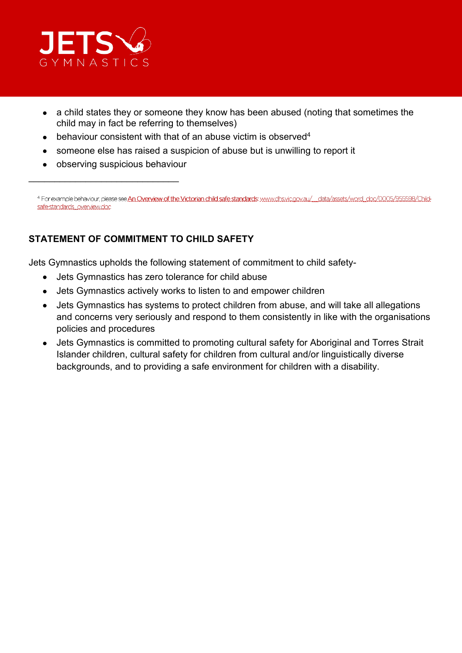

- a child states they or someone they know has been abused (noting that sometimes the child may in fact be referring to themselves)
- behaviour consistent with that of an abuse victim is observed<sup>4</sup>
- someone else has raised a suspicion of abuse but is unwilling to report it
- observing suspicious behaviour

\_\_\_\_\_\_\_\_\_\_\_\_\_\_\_\_\_\_\_\_\_\_\_\_\_\_\_\_\_

4 For example behaviour, please see An Overview of the Victorian child safe standards: www.chs.vic.gov.au/ data/assets/word\_doc/0005/955598/Childsafe-standards overview.doc

# **STATEMENT OF COMMITMENT TO CHILD SAFETY**

Jets Gymnastics upholds the following statement of commitment to child safety-

- Jets Gymnastics has zero tolerance for child abuse
- Jets Gymnastics actively works to listen to and empower children
- Jets Gymnastics has systems to protect children from abuse, and will take all allegations and concerns very seriously and respond to them consistently in like with the organisations policies and procedures
- Jets Gymnastics is committed to promoting cultural safety for Aboriginal and Torres Strait Islander children, cultural safety for children from cultural and/or linguistically diverse backgrounds, and to providing a safe environment for children with a disability.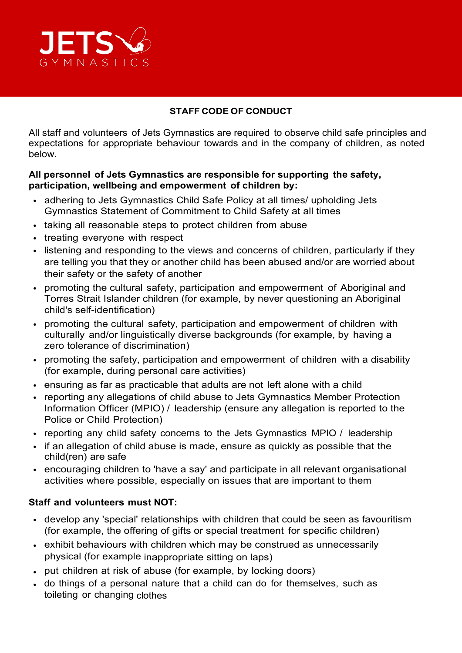

# **STAFF CODE OF CONDUCT**

All staff and volunteers of Jets Gymnastics are required to observe child safe principles and expectations for appropriate behaviour towards and in the company of children, as noted below.

## **All personnel of Jets Gymnastics are responsible for supporting the safety, participation, wellbeing and empowerment of children by:**

- adhering to Jets Gymnastics Child Safe Policy at all times/ upholding Jets Gymnastics Statement of Commitment to Child Safety at all times
- taking all reasonable steps to protect children from abuse
- treating everyone with respect
- listening and responding to the views and concerns of children, particularly if they are telling you that they or another child has been abused and/or are worried about their safety or the safety of another
- promoting the cultural safety, participation and empowerment of Aboriginal and Torres Strait Islander children (for example, by never questioning an Aboriginal child's self-identification)
- promoting the cultural safety, participation and empowerment of children with culturally and/or linguistically diverse backgrounds (for example, by having a zero tolerance of discrimination)
- promoting the safety, participation and empowerment of children with a disability (for example, during personal care activities)
- ensuring as far as practicable that adults are not left alone with a child
- reporting any allegations of child abuse to Jets Gymnastics Member Protection Information Officer (MPIO) / leadership (ensure any allegation is reported to the Police or Child Protection)
- reporting any child safety concerns to the Jets Gymnastics MPIO / leadership
- if an allegation of child abuse is made, ensure as quickly as possible that the child(ren) are safe
- encouraging children to 'have a say' and participate in all relevant organisational activities where possible, especially on issues that are important to them

#### **Staff and volunteers must NOT:**

- develop any 'special' relationships with children that could be seen as favouritism (for example, the offering of gifts or special treatment for specific children)
- exhibit behaviours with children which may be construed as unnecessarily physical (for example inappropriate sitting on laps)
- put children at risk of abuse (for example, by locking doors)
- do things of a personal nature that a child can do for themselves, such as toileting or changing clothes